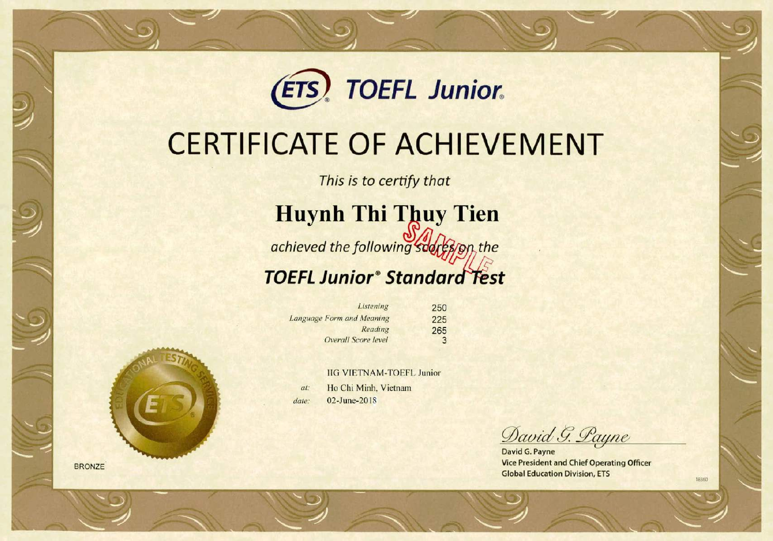

## **CERTIFICATE OF ACHIEVEMENT**

This is to certify that

**Huynh Thi Thuy Tien** 

achieved the following sudres/on the

## **TOEFL Junior® Standard Test**

| Listening                 | 250 |
|---------------------------|-----|
| Language Form and Meaning | 225 |
| Reading                   | 265 |
| Overall Score level       | 3   |

**IIG VIETNAM-TOEFL Junior** Ho Chi Minh, Vietnam at: 02-June-2018 date:

David G. Payne

David G. Payne **Vice President and Chief Operating Officer Global Education Division, ETS** 

18360



**BRONZE**